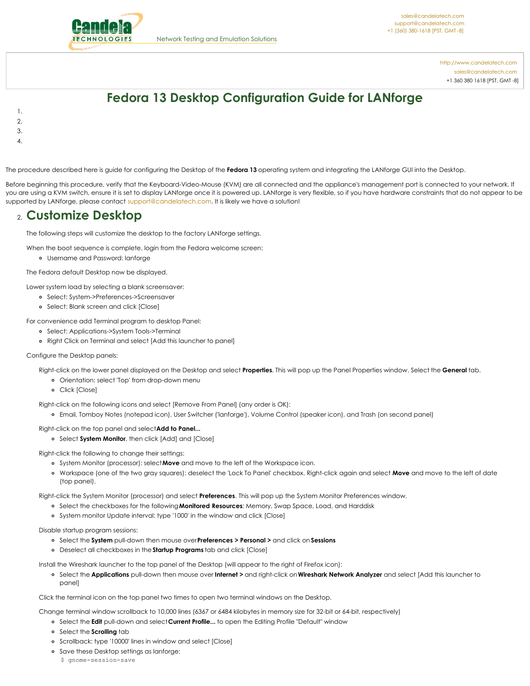

<http://www.candelatech.com> [sales@candelatech.com](mailto:sales@candelatech.com) +1 360 380 1618 [PST, GMT -8]

# **Fedora 13 Desktop Configuration Guide for LANforge**

- 1. 2.
- 3.
- 
- 4.
- The procedure described here is guide for configuring the Desktop of the **Fedora 13** operating system and integrating the LANforge GUI into the Desktop.

Before beginning this procedure, verify that the Keyboard-Video-Mouse (KVM) are all connected and the appliance's management port is connected to your network. If you are using a KVM switch, ensure it is set to display LANforge once it is powered up. LANforge is very flexible, so if you have hardware constraints that do not appear to be supported by LANforge, please contact [support@candelatech.com](mailto:sales@candelatech.com). It is likely we have a solution!

### 2. **Customize Desktop**

The following steps will customize the desktop to the factory LANforge settings.

When the boot sequence is complete, login from the Fedora welcome screen:

Username and Password: lanforge

The Fedora default Desktop now be displayed.

Lower system load by selecting a blank screensaver:

- Select: System->Preferences->Screensaver
- Select: Blank screen and click [Close]

For convenience add Terminal program to desktop Panel:

- Select: Applications->System Tools->Terminal
- Right Click on Terminal and select [Add this launcher to panel]

#### Configure the Desktop panels:

Right-click on the lower panel displayed on the Desktop and select **Properties**. This will pop up the Panel Properties window. Select the **General** tab.

- Orientation: select 'Top' from drop-down menu
- Click [Close]

Right-click on the following icons and select [Remove From Panel] (any order is OK):

- Email, Tomboy Notes (notepad icon), User Switcher ('lanforge'), Volume Control (speaker icon), and Trash (on second panel)
- Right-click on the top panel and select**Add to Panel...**
	- Select **System Monitor**, then click [Add] and [Close]

Right-click the following to change their settings:

- System Monitor (processor): select**Move** and move to the left of the Workspace icon.
- Workspace (one of the two gray squares): deselect the 'Lock To Panel' checkbox. Right-click again and select **Move** and move to the left of date (top panel).

Right-click the System Monitor (processor) and select **Preferences**. This will pop up the System Monitor Preferences window.

- Select the checkboxes for the following**Monitored Resources**: Memory, Swap Space, Load, and Harddisk
- System monitor Update interval: type '1000' in the window and click [Close]

#### Disable startup program sessions:

- Select the **System** pull-down then mouse over**Preferences > Personal >** and click on **Sessions**
- Deselect all checkboxes in the **Startup Programs** tab and click [Close]

Install the Wireshark launcher to the top panel of the Desktop (will appear to the right of Firefox icon):

Select the **Applications** pull-down then mouse over **Internet >** and right-click on**Wireshark Network Analyzer** and select [Add this launcher to panel]

#### Click the terminal icon on the top panel two times to open two terminal windows on the Desktop.

Change terminal window scrollback to 10,000 lines (6367 or 6484 kilobytes in memory size for 32-bit or 64-bit, respectively)

- Select the **Edit** pull-down and select**Current Profile...** to open the Editing Profile "Default" window
- Select the **Scrolling** tab
- o Scrollback: type '10000' lines in window and select [Close]
- Save these Desktop settings as lanforge:

\$ gnome-session-save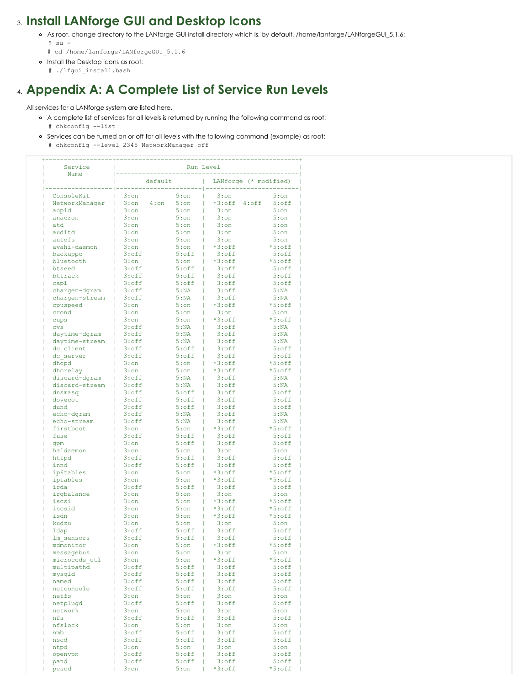### 3. **Install LANforge GUI and Desktop Icons**

- o As root, change directory to the LANforge GUI install directory which is, by default, /home/lanforge/LANforgeGUI\_5.1.6:  $$ su -$ 
	- # cd /home/lanforge/LANforgeGUI\_5.1.6
- o Install the Desktop icons as root:
	- # ./lfgui\_install.bash

## 4. **Appendix A: A Complete List of Service Run Levels**

All services for a LANforge system are listed here.

- A complete list of services for all levels is returned by running the following command as root: # chkconfig --list
- Services can be turned on or off for all levels with the following command (example) as root: # chkconfig --level 2345 NetworkManager off

| Service<br>Name       | Run Level                  |                     |                                 |                            |  |
|-----------------------|----------------------------|---------------------|---------------------------------|----------------------------|--|
|                       | default                    |                     | LANforge (* modified)           |                            |  |
| ConsoleKit            | $3:$ on                    | $5:$ on             | 3:on                            | 5:on                       |  |
| NetworkManager        | $3:$ on<br>$4:$ on         | 5:on                | $*3:$ of f<br>$4:$ of $f$<br>Т  | $5:$ off                   |  |
| acpid                 | $3:$ on                    | $5:$ on             | $3:$ on<br>L                    | $5:$ on                    |  |
| anacron               | $3:$ on                    | 5:on                | $3:$ on                         | 5:on                       |  |
| atd                   | $3:$ on                    | 5:on                | $3:$ on                         | 5:on                       |  |
| auditd                | $3:$ on                    | 5:on                | $3:$ on                         | 5:on                       |  |
| autofs                | $3:$ on                    | 5:on                | $3:$ on                         | 5:on                       |  |
| avahi-daemon          | $3:$ on                    | 5:on                | $*3:$ off<br>ı                  | $*5:$ off                  |  |
| backuppc              | $3:$ of $f$                | $5:$ of $f$         | $3:$ of $f$                     | $5:$ off                   |  |
| bluetooth             | $3:$ on                    | 5:on                | $*3:$ off                       | $*5:$ off                  |  |
| btseed                | $3:$ off                   | $5:$ of $f$         | $3:$ off                        | $5:$ off                   |  |
| bttrack               | $3:$ of $f$<br>$3:$ of $f$ | $5:$ of $f$         | $3:$ of $f$<br>L                | $5:$ of $f$<br>$5:$ of $f$ |  |
| capi<br>chargen-dgram | $3:$ off                   | $5:$ of $f$<br>5:NA | $3:$ of $f$<br>L<br>$3:$ of $f$ | 5:NA                       |  |
| chargen-stream        | $3:$ off                   | 5:NA                | $3:$ of $f$                     | 5:NA                       |  |
| cpuspeed              | $3:$ on                    | 5:on                | $*3:$ off                       | $*5:$ off                  |  |
| crond                 | $3:$ on                    | 5:on                | $3:$ on                         | 5:on                       |  |
| cups                  | $3:$ on                    | 5:on                | $*3:$ off<br>т                  | $*5:$ off                  |  |
| <b>CVS</b>            | $3:$ off                   | 5:NA                | $3:$ of $f$                     | 5:NA                       |  |
| daytime-dgram         | $3:$ off                   | 5:NA                | $3:$ of $f$                     | 5:NA                       |  |
| daytime-stream        | $3:$ of $f$                | 5:NA                | $3:$ of $f$                     | 5:NA                       |  |
| dc client             | $3:$ of $f$                | $5:$ of $f$         | $3:$ of $f$<br>L                | $5:$ of $f$                |  |
| dc server             | $3:$ off                   | $5:$ of $f$         | Т<br>$3:$ of $f$                | $5:$ off                   |  |
| dhcpd                 | $3:$ on                    | 5:on                | $*3:$ off                       | $*5:$ off                  |  |
| dhcrelay              | $3:$ on                    | 5:on                | $*3:$ off                       | $*5:$ off                  |  |
| discard-dqram         | $3:$ of $f$                | 5:NA                | $3:$ off                        | 5:NA                       |  |
| discard-stream        | $3:$ off                   | 5:NA                | $3:$ of $f$                     | 5:NA                       |  |
| dnsmasq               | $3:$ of $f$                | $5:$ of $f$         | $3:$ of $f$<br>L                | $5:$ of $f$                |  |
| dovecot               | $3:$ off                   | $5:$ of $f$         | $3:$ of $f$<br>T.               | $5:$ off                   |  |
| dund                  | $3:$ off                   | $5:$ of $f$         | $3:$ of $f$                     | $5:$ off                   |  |
| echo-dqram            | $3:$ off                   | 5:NA                | $3:$ of $f$                     | 5:NA                       |  |
| echo-stream           | $3:$ off                   | 5:NA                | $3:$ of $f$                     | 5:NA                       |  |
| firstboot             | $3:$ on                    | 5:on                | T<br>$*3:$ off                  | $*5:$ off                  |  |
| fuse                  | $3:$ off                   | $5:$ of $f$         | $3:$ of $f$<br>T                | $5:$ off                   |  |
| qpm<br>haldaemon      | $3:$ on<br>$3:$ on         | $5:$ of $f$<br>5:on | $3:$ of $f$<br>$3:$ on          | $5:$ off<br>5:on           |  |
| httpd                 | $3:$ of $f$                | $5:$ of $f$         | $3:$ of $f$<br>L                | $5:$ of $f$                |  |
| innd                  | $3:$ off                   | $5:$ of $f$         | $3:$ of $f$<br>г                | $5:$ off                   |  |
| ip6tables             | $3:$ on                    | 5:on                | $*3:$ off                       | $*5:$ off                  |  |
| iptables              | $3:$ on                    | 5:on                | $*3:$ off                       | $*5:$ off                  |  |
| irda                  | $3:$ of $f$                | $5:$ of $f$         | $3:$ of $f$<br>L                | $5:$ off                   |  |
| irqbalance            | $3:$ on                    | 5:on                | $3:$ on                         | 5:on                       |  |
| iscsi                 | $3:$ on                    | 5:on                | $*3:$ of f<br>т                 | $*5:$ off                  |  |
| iscsid                | $3:$ on                    | 5:on                | $*3:$ off                       | $*5:$ off                  |  |
| isdn                  | $3:$ on                    | 5:on                | $*3:$ off                       | $*5:$ off                  |  |
| kudzu                 | $3:$ on                    | 5:on                | $3:$ on                         | 5:on                       |  |
| ldap                  | $3:$ off                   | $5:$ of $f$         | $3:$ of $f$                     | $5:$ off                   |  |
| lm sensors            | $3:$ off                   | $5:$ of $f$         | $3:$ of $f$<br>T                | $5:$ off                   |  |
| mdmonitor             | $3:$ on                    | $5:$ on             | *3:off                          | *5:off                     |  |
| messagebus            | $3:$ on                    | $5:$ on             | $3:$ on                         | $5:$ on                    |  |
| microcode ctl         | $3:$ on                    | $5:$ on             | *3:off                          | *5:off                     |  |
| multipathd            | $3:$ of $f$                | $5:$ off            | $3:$ of $f$                     | $5:$ off                   |  |
| mysqld                | $3:$ off                   | $5:$ off            | $3:$ of $f$                     | $5:$ off                   |  |
| named                 | $3:$ off                   | $5:$ off            | $3:$ off                        | $5:$ off                   |  |
| netconsole            | $3:$ off                   | $5:$ off            | $3:$ of $f$                     | $5:$ off                   |  |
| netfs                 | $3:$ on                    | 5:on                | $3:$ on                         | 5:on                       |  |
| netplugd<br>network   | $3:$ off<br>$3:$ on        | $5:$ off<br>5:on    | $3:$ of $f$<br>$3:$ on          | $5:$ off<br>5:on           |  |
| nfs                   | $3:$ of $f$                | $5:$ off            | $3:$ of $f$                     | $5:$ off                   |  |
| nfslock               | $3:$ on                    | 5:on                | $3:$ on                         | 5:on                       |  |
| nmb                   | $3:$ off                   | $5:$ off            | $3:$ of $f$                     | $5:$ off                   |  |
| nscd                  | $3:$ off                   | $5:$ off            | $3:$ of $f$                     | $5:$ off                   |  |
| ntpd                  | $3:$ on                    | 5:on                | $3:$ on                         | $5:$ on                    |  |
| openvpn               | $3:$ off                   | $5:$ off            | $3:$ off                        | $5:$ off                   |  |
| pand                  | $3:$ off                   | $5:$ off            | $3:$ of $f$                     | $5:$ off                   |  |
| pcscd                 | $3:$ on                    | 5:on                | *3:off                          | *5:off                     |  |